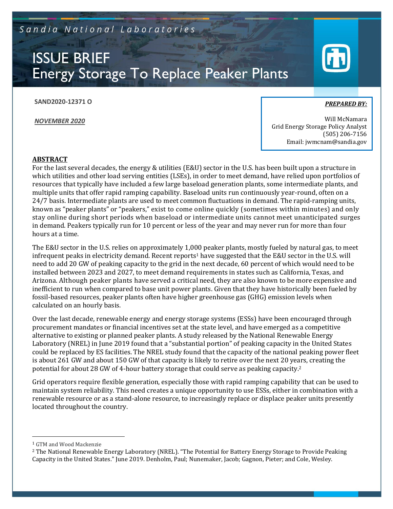Sandia National Laboratories

# ISSUE BRIEF Energy Storage To Replace Peaker Plants

**SAND2020-12371 O**

*NOVEMBER 2020*

*PREPARED BY:* 

Will McNamara Grid Energy Storage Policy Analyst (505) 206-7156 Email: jwmcnam@sandia.gov

### **ABSTRACT**

For the last several decades, the energy & utilities (E&U) sector in the U.S. has been built upon a structure in which utilities and other load serving entities (LSEs), in order to meet demand, have relied upon portfolios of resources that typically have included a few large baseload generation plants, some intermediate plants, and multiple units that offer rapid ramping capability. Baseload units run continuously year-round, often on a 24/7 basis. Intermediate plants are used to meet common fluctuations in demand. The rapid-ramping units, known as "peaker plants" or "peakers," exist to come online quickly (sometimes within minutes) and only stay online during short periods when baseload or intermediate units cannot meet unanticipated surges in demand. Peakers typically run for 10 percent or less of the year and may never run for more than four hours at a time.

The E&U sector in the U.S. relies on approximately 1,000 peaker plants, mostly fueled by natural gas, to meet infrequent peaks in electricity demand. Recent reports<sup>1</sup> have suggested that the E&U sector in the U.S. will need to add 20 GW of peaking capacity to the grid in the next decade, 60 percent of which would need to be installed between 2023 and 2027, to meet demand requirements in states such as California, Texas, and Arizona. Although peaker plants have served a critical need, they are also known to be more expensive and inefficient to run when compared to base unit power plants. Given that they have historically been fueled by fossil-based resources, peaker plants often have higher greenhouse gas (GHG) emission levels when calculated on an hourly basis.

Over the last decade, renewable energy and energy storage systems (ESSs) have been encouraged through procurement mandates or financial incentives set at the state level, and have emerged as a competitive alternative to existing or planned peaker plants. A study released by the National Renewable Energy Laboratory (NREL) in June 2019 found that a "substantial portion" of peaking capacity in the United States could be replaced by ES facilities. The NREL study found that the capacity of the national peaking power fleet is about 261 GW and about 150 GW of that capacity is likely to retire over the next 20 years, creating the potential for about 28 GW of 4-hour battery storage that could serve as peaking capacity.<sup>2</sup>

Grid operators require flexible generation, especially those with rapid ramping capability that can be used to maintain system reliability. This need creates a unique opportunity to use ESSs, either in combination with a renewable resource or as a stand-alone resource, to increasingly replace or displace peaker units presently located throughout the country.

<sup>1</sup> GTM and Wood Mackenzie

<sup>2</sup> The National Renewable Energy Laboratory (NREL). "The Potential for Battery Energy Storage to Provide Peaking Capacity in the United States." June 2019. Denholm, Paul; Nunemaker, Jacob; Gagnon, Pieter; and Cole, Wesley.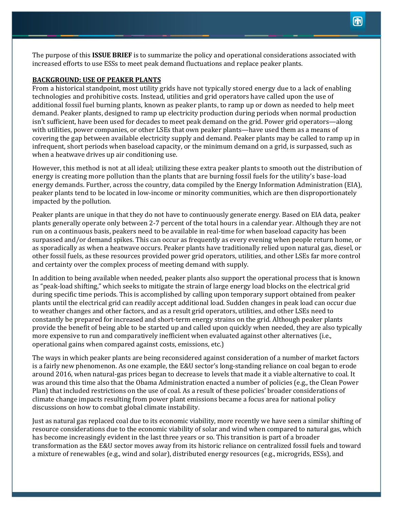The purpose of this **ISSUE BRIEF** is to summarize the policy and operational considerations associated with increased efforts to use ESSs to meet peak demand fluctuations and replace peaker plants.

#### **BACKGROUND: USE OF PEAKER PLANTS**

From a historical standpoint, most utility grids have not typically stored energy due to a lack of enabling technologies and prohibitive costs. Instead, utilities and grid operators have called upon the use of additional fossil fuel burning plants, known as peaker plants, to ramp up or down as needed to help meet demand. Peaker plants, designed to ramp up electricity production during periods when normal production isn't sufficient, have been used for decades to meet peak demand on the grid. Power grid operators—along with utilities, power companies, or other LSEs that own peaker plants—have used them as a means of covering the gap between available electricity supply and demand. Peaker plants may be called to ramp up in infrequent, short periods when baseload capacity, or the minimum demand on a grid, is surpassed, such as when a heatwave drives up air conditioning use.

However, this method is not at all ideal; utilizing these extra peaker plants to smooth out the distribution of energy is creating more pollution than the plants that are burning fossil fuels for the utility's base-load energy demands. Further, across the country, data compiled by the Energy Information Administration (EIA), peaker plants tend to be located in low-income or minority communities, which are then disproportionately impacted by the pollution.

Peaker plants are unique in that they do not have to continuously generate energy. Based on EIA data, peaker plants generally operate only between 2-7 percent of the total hours in a calendar year. Although they are not run on a continuous basis, peakers need to be available in real-time for when baseload capacity has been surpassed and/or demand spikes. This can occur as frequently as every evening when people return home, or as sporadically as when a heatwave occurs. Peaker plants have traditionally relied upon natural gas, diesel, or other fossil fuels, as these resources provided power grid operators, utilities, and other LSEs far more control and certainty over the complex process of meeting demand with supply.

In addition to being available when needed, peaker plants also support the operational process that is known as "peak-load shifting," which seeks to mitigate the strain of large energy load blocks on the electrical grid during specific time periods. This is accomplished by calling upon temporary support obtained from peaker plants until the electrical grid can readily accept additional load. Sudden changes in peak load can occur due to weather changes and other factors, and as a result grid operators, utilities, and other LSEs need to constantly be prepared for increased and short-term energy strains on the grid. Although peaker plants provide the benefit of being able to be started up and called upon quickly when needed, they are also typically more expensive to run and comparatively inefficient when evaluated against other alternatives (i.e., operational gains when compared against costs, emissions, etc.)

The ways in which peaker plants are being reconsidered against consideration of a number of market factors is a fairly new phenomenon. As one example, the E&U sector's long-standing reliance on coal began to erode around 2016, when natural-gas prices began to decrease to levels that made it a viable alternative to coal. It was around this time also that the Obama Administration enacted a number of policies (e.g., the Clean Power Plan) that included restrictions on the use of coal. As a result of these policies' broader considerations of climate change impacts resulting from power plant emissions became a focus area for national policy discussions on how to combat global climate instability.

Just as natural gas replaced coal due to its economic viability, more recently we have seen a similar shifting of resource considerations due to the economic viability of solar and wind when compared to natural gas, which has become increasingly evident in the last three years or so. This transition is part of a broader transformation as the E&U sector moves away from its historic reliance on centralized fossil fuels and toward a mixture of renewables (e.g., wind and solar), distributed energy resources (e.g., microgrids, ESSs), and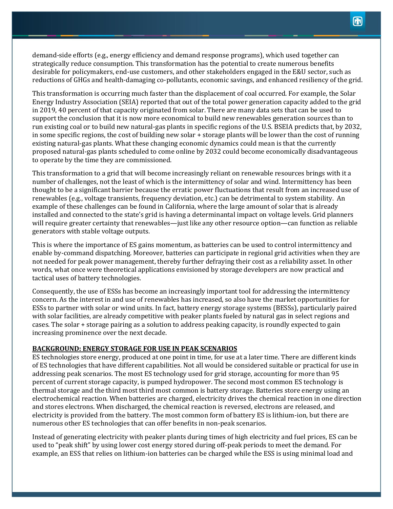demand-side efforts (e.g., energy efficiency and demand response programs), which used together can strategically reduce consumption. This transformation has the potential to create numerous benefits desirable for policymakers, end-use customers, and other stakeholders engaged in the E&U sector, such as reductions of GHGs and health-damaging co-pollutants, economic savings, and enhanced resiliency of the grid.

This transformation is occurring much faster than the displacement of coal occurred. For example, the Solar Energy Industry Association (SEIA) reported that out of the total power generation capacity added to the grid in 2019, 40 percent of that capacity originated from solar. There are many data sets that can be used to support the conclusion that it is now more economical to build new renewables generation sources than to run existing coal or to build new natural-gas plants in specific regions of the U.S. BSEIA predicts that, by 2032, in some specific regions, the cost of building new solar + storage plants will be lower than the cost of running existing natural-gas plants. What these changing economic dynamics could mean is that the currently proposed natural-gas plants scheduled to come online by 2032 could become economically disadvantageous to operate by the time they are commissioned.

This transformation to a grid that will become increasingly reliant on renewable resources brings with it a number of challenges, not the least of which is the intermittency of solar and wind. Intermittency has been thought to be a significant barrier because the erratic power fluctuations that result from an increased use of renewables (e.g., voltage transients, frequency deviation, etc.) can be detrimental to system stability. An example of these challenges can be found in California, where the large amount of solar that is already installed and connected to the state's grid is having a determinantal impact on voltage levels. Grid planners will require greater certainty that renewables—just like any other resource option—can function as reliable generators with stable voltage outputs.

This is where the importance of ES gains momentum, as batteries can be used to control intermittency and enable by-command dispatching. Moreover, batteries can participate in regional grid activities when they are not needed for peak power management, thereby further defraying their cost as a reliability asset. In other words, what once were theoretical applications envisioned by storage developers are now practical and tactical uses of battery technologies.

Consequently, the use of ESSs has become an increasingly important tool for addressing the intermittency concern. As the interest in and use of renewables has increased, so also have the market opportunities for ESSs to partner with solar or wind units. In fact, battery energy storage systems (BESSs), particularly paired with solar facilities, are already competitive with peaker plants fueled by natural gas in select regions and cases. The solar + storage pairing as a solution to address peaking capacity, is roundly expected to gain increasing prominence over the next decade.

#### **BACKGROUND: ENERGY STORAGE FOR USE IN PEAK SCENARIOS**

ES technologies store energy, produced at one point in time, for use at a later time. There are different kinds of ES technologies that have different capabilities. Not all would be considered suitable or practical for use in addressing peak scenarios. The most ES technology used for grid storage, accounting for more than 95 percent of current storage capacity, is pumped hydropower. The second most common ES technology is thermal storage and the third most third most common is battery storage. Batteries store energy using an electrochemical reaction. When batteries are charged, electricity drives the chemical reaction in one direction and stores electrons. When discharged, the chemical reaction is reversed, electrons are released, and electricity is provided from the battery. The most common form of battery ES is lithium-ion, but there are numerous other ES technologies that can offer benefits in non-peak scenarios.

Instead of generating electricity with peaker plants during times of high electricity and fuel prices, ES can be used to "peak shift" by using lower cost energy stored during off-peak periods to meet the demand. For example, an ESS that relies on lithium-ion batteries can be charged while the ESS is using minimal load and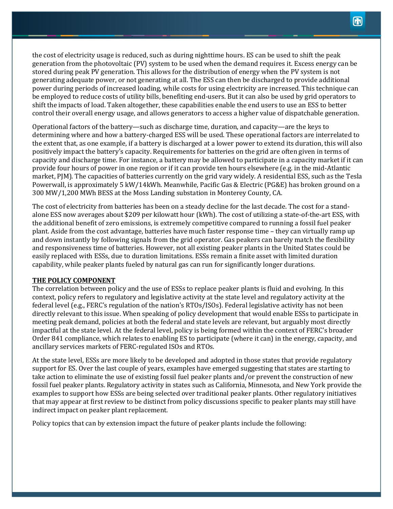the cost of electricity usage is reduced, such as during nighttime hours. ES can be used to shift the peak generation from the photovoltaic (PV) system to be used when the demand requires it. Excess energy can be stored during peak PV generation. This allows for the distribution of energy when the PV system is not generating adequate power, or not generating at all. The ESS can then be discharged to provide additional power during periods of increased loading, while costs for using electricity are increased. This technique can be employed to reduce costs of utility bills, benefiting end-users. But it can also be used by grid operators to shift the impacts of load. Taken altogether, these capabilities enable the end users to use an ESS to better control their overall energy usage, and allows generators to access a higher value of dispatchable generation.

Operational factors of the battery—such as discharge time, duration, and capacity—are the keys to determining where and how a battery-charged ESS will be used. These operational factors are interrelated to the extent that, as one example, if a battery is discharged at a lower power to extend its duration, this will also positively impact the battery's capacity. Requirements for batteries on the grid are often given in terms of capacity and discharge time. For instance, a battery may be allowed to participate in a capacity market if it can provide four hours of power in one region or if it can provide ten hours elsewhere (e.g. in the mid-Atlantic market, PJM). The capacities of batteries currently on the grid vary widely. A residential ESS, such as the Tesla Powerwall, is approximately 5 kW/14kWh. Meanwhile, Pacific Gas & Electric (PG&E) has broken ground on a 300 MW/1,200 MWh BESS at the Moss Landing substation in Monterey County, CA.

The cost of electricity from batteries has been on a steady decline for the last decade. The cost for a standalone ESS now averages about \$209 per kilowatt hour (kWh). The cost of utilizing a state-of-the-art ESS, with the additional benefit of zero emissions, is extremely competitive compared to running a fossil fuel peaker plant. Aside from the cost advantage, batteries have much faster response time – they can virtually ramp up and down instantly by following signals from the grid operator. Gas peakers can barely match the flexibility and responsiveness time of batteries. However, not all existing peaker plants in the United States could be easily replaced with ESSs, due to duration limitations. ESSs remain a finite asset with limited duration capability, while peaker plants fueled by natural gas can run for significantly longer durations.

#### **THE POLICY COMPONENT**

The correlation between policy and the use of ESSs to replace peaker plants is fluid and evolving. In this context, policy refers to regulatory and legislative activity at the state level and regulatory activity at the federal level (e.g., FERC's regulation of the nation's RTOs/ISOs). Federal legislative activity has not been directly relevant to this issue. When speaking of policy development that would enable ESSs to participate in meeting peak demand, policies at both the federal and state levels are relevant, but arguably most directly impactful at the state level. At the federal level, policy is being formed within the context of FERC's broader Order 841 compliance, which relates to enabling ES to participate (where it can) in the energy, capacity, and ancillary services markets of FERC-regulated ISOs and RTOs.

At the state level, ESSs are more likely to be developed and adopted in those states that provide regulatory support for ES. Over the last couple of years, examples have emerged suggesting that states are starting to take action to eliminate the use of existing fossil fuel peaker plants and/or prevent the construction of new fossil fuel peaker plants. Regulatory activity in states such as California, Minnesota, and New York provide the examples to support how ESSs are being selected over traditional peaker plants. Other regulatory initiatives that may appear at first review to be distinct from policy discussions specific to peaker plants may still have indirect impact on peaker plant replacement.

Policy topics that can by extension impact the future of peaker plants include the following: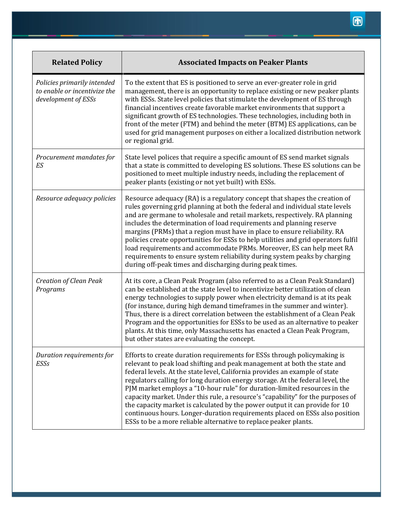| <b>Related Policy</b>                                                              | <b>Associated Impacts on Peaker Plants</b>                                                                                                                                                                                                                                                                                                                                                                                                                                                                                                                                                                                                                                                                              |
|------------------------------------------------------------------------------------|-------------------------------------------------------------------------------------------------------------------------------------------------------------------------------------------------------------------------------------------------------------------------------------------------------------------------------------------------------------------------------------------------------------------------------------------------------------------------------------------------------------------------------------------------------------------------------------------------------------------------------------------------------------------------------------------------------------------------|
| Policies primarily intended<br>to enable or incentivize the<br>development of ESSs | To the extent that ES is positioned to serve an ever-greater role in grid<br>management, there is an opportunity to replace existing or new peaker plants<br>with ESSs. State level policies that stimulate the development of ES through<br>financial incentives create favorable market environments that support a<br>significant growth of ES technologies. These technologies, including both in<br>front of the meter (FTM) and behind the meter (BTM) ES applications, can be<br>used for grid management purposes on either a localized distribution network<br>or regional grid.                                                                                                                               |
| Procurement mandates for<br>ES                                                     | State level polices that require a specific amount of ES send market signals<br>that a state is committed to developing ES solutions. These ES solutions can be<br>positioned to meet multiple industry needs, including the replacement of<br>peaker plants (existing or not yet built) with ESSs.                                                                                                                                                                                                                                                                                                                                                                                                                     |
| Resource adequacy policies                                                         | Resource adequacy (RA) is a regulatory concept that shapes the creation of<br>rules governing grid planning at both the federal and individual state levels<br>and are germane to wholesale and retail markets, respectively. RA planning<br>includes the determination of load requirements and planning reserve<br>margins (PRMs) that a region must have in place to ensure reliability. RA<br>policies create opportunities for ESSs to help utilities and grid operators fulfil<br>load requirements and accommodate PRMs. Moreover, ES can help meet RA<br>requirements to ensure system reliability during system peaks by charging<br>during off-peak times and discharging during peak times.                  |
| <b>Creation of Clean Peak</b><br>Programs                                          | At its core, a Clean Peak Program (also referred to as a Clean Peak Standard)<br>can be established at the state level to incentivize better utilization of clean<br>energy technologies to supply power when electricity demand is at its peak<br>(for instance, during high demand timeframes in the summer and winter).<br>Thus, there is a direct correlation between the establishment of a Clean Peak<br>Program and the opportunities for ESSs to be used as an alternative to peaker<br>plants. At this time, only Massachusetts has enacted a Clean Peak Program,<br>but other states are evaluating the concept.                                                                                              |
| Duration requirements for<br>ESSs                                                  | Efforts to create duration requirements for ESSs through policymaking is<br>relevant to peak load shifting and peak management at both the state and<br>federal levels. At the state level, California provides an example of state<br>regulators calling for long duration energy storage. At the federal level, the<br>PJM market employs a "10-hour rule" for duration-limited resources in the<br>capacity market. Under this rule, a resource's "capability" for the purposes of<br>the capacity market is calculated by the power output it can provide for 10<br>continuous hours. Longer-duration requirements placed on ESSs also position<br>ESSs to be a more reliable alternative to replace peaker plants. |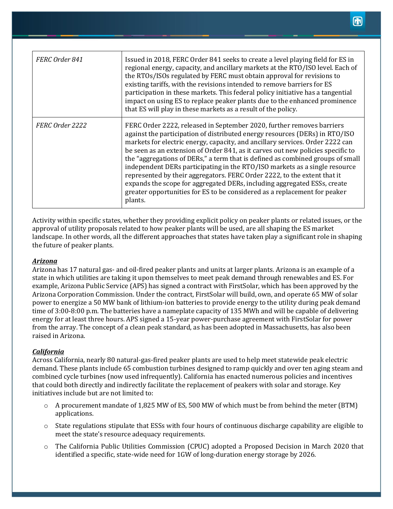| FERC Order 841  | Issued in 2018, FERC Order 841 seeks to create a level playing field for ES in<br>regional energy, capacity, and ancillary markets at the RTO/ISO level. Each of<br>the RTOs/ISOs regulated by FERC must obtain approval for revisions to<br>existing tariffs, with the revisions intended to remove barriers for ES<br>participation in these markets. This federal policy initiative has a tangential<br>impact on using ES to replace peaker plants due to the enhanced prominence<br>that ES will play in these markets as a result of the policy.                                                                                                                                                                                   |
|-----------------|------------------------------------------------------------------------------------------------------------------------------------------------------------------------------------------------------------------------------------------------------------------------------------------------------------------------------------------------------------------------------------------------------------------------------------------------------------------------------------------------------------------------------------------------------------------------------------------------------------------------------------------------------------------------------------------------------------------------------------------|
| FERC Order 2222 | FERC Order 2222, released in September 2020, further removes barriers<br>against the participation of distributed energy resources (DERs) in RTO/ISO<br>markets for electric energy, capacity, and ancillary services. Order 2222 can<br>be seen as an extension of Order 841, as it carves out new policies specific to<br>the "aggregations of DERs," a term that is defined as combined groups of small<br>independent DERs participating in the RTO/ISO markets as a single resource<br>represented by their aggregators. FERC Order 2222, to the extent that it<br>expands the scope for aggregated DERs, including aggregated ESSs, create<br>greater opportunities for ES to be considered as a replacement for peaker<br>plants. |

Activity within specific states, whether they providing explicit policy on peaker plants or related issues, or the approval of utility proposals related to how peaker plants will be used, are all shaping the ES market landscape. In other words, all the different approaches that states have taken play a significant role in shaping the future of peaker plants.

## *Arizona*

Arizona has 17 natural gas- and oil-fired peaker plants and units at larger plants. Arizona is an example of a state in which utilities are taking it upon themselves to meet peak demand through renewables and ES. For example, Arizona Public Service (APS) has signed a contract with FirstSolar, which has been approved by the Arizona Corporation Commission. Under the contract, FirstSolar will build, own, and operate 65 MW of solar power to energize a 50 MW bank of lithium-ion batteries to provide energy to the utility during peak demand time of 3:00-8:00 p.m. The batteries have a nameplate capacity of 135 MWh and will be capable of delivering energy for at least three hours. APS signed a 15-year power-purchase agreement with FirstSolar for power from the array. The concept of a clean peak standard, as has been adopted in Massachusetts, has also been raised in Arizona.

## *California*

Across California, nearly 80 natural-gas-fired peaker plants are used to help meet statewide peak electric demand. These plants include 65 combustion turbines designed to ramp quickly and over ten aging steam and combined cycle turbines (now used infrequently). California has enacted numerous policies and incentives that could both directly and indirectly facilitate the replacement of peakers with solar and storage. Key initiatives include but are not limited to:

- o A procurement mandate of 1,825 MW of ES, 500 MW of which must be from behind the meter (BTM) applications.
- $\circ$  State regulations stipulate that ESSs with four hours of continuous discharge capability are eligible to meet the state's resource adequacy requirements.
- o The California Public Utilities Commission (CPUC) adopted a Proposed Decision in March 2020 that identified a specific, state-wide need for 1GW of long-duration energy storage by 2026.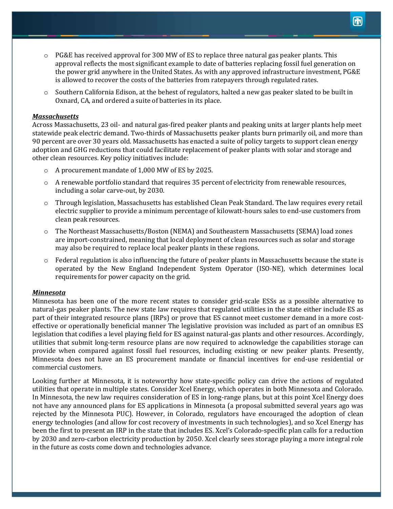- $\circ$  PG&E has received approval for 300 MW of ES to replace three natural gas peaker plants. This approval reflects the most significant example to date of batteries replacing fossil fuel generation on the power grid anywhere in the United States. As with any approved infrastructure investment, PG&E is allowed to recover the costs of the batteries from ratepayers through regulated rates.
- o Southern California Edison, at the behest of regulators, halted a new gas peaker slated to be built in Oxnard, CA, and ordered a suite of batteries in its place.

#### *Massachusetts*

Across Massachusetts, 23 oil- and natural gas-fired peaker plants and peaking units at larger plants help meet statewide peak electric demand. Two-thirds of Massachusetts peaker plants burn primarily oil, and more than 90 percent are over 30 years old. Massachusetts has enacted a suite of policy targets to support clean energy adoption and GHG reductions that could facilitate replacement of peaker plants with solar and storage and other clean resources. Key policy initiatives include:

- o A procurement mandate of 1,000 MW of ES by 2025.
- o A renewable portfolio standard that requires 35 percent of electricity from renewable resources, including a solar carve-out, by 2030.
- o Through legislation, Massachusetts has established Clean Peak Standard. The law requires every retail electric supplier to provide a minimum percentage of kilowatt-hours sales to end-use customers from clean peak resources.
- o The Northeast Massachusetts/Boston (NEMA) and Southeastern Massachusetts (SEMA) load zones are import-constrained, meaning that local deployment of clean resources such as solar and storage may also be required to replace local peaker plants in these regions.
- o Federal regulation is also influencing the future of peaker plants in Massachusetts because the state is operated by the New England Independent System Operator (ISO-NE), which determines local requirements for power capacity on the grid.

#### *Minnesota*

Minnesota has been one of the more recent states to consider grid-scale ESSs as a possible alternative to natural-gas peaker plants. The new state law requires that regulated utilities in the state either include ES as part of their integrated resource plans (IRPs) or prove that ES cannot meet customer demand in a more costeffective or operationally beneficial manner The legislative provision was included as part of an omnibus ES legislation that codifies a level playing field for ES against natural-gas plants and other resources. Accordingly, utilities that submit long-term resource plans are now required to acknowledge the capabilities storage can provide when compared against fossil fuel resources, including existing or new peaker plants. Presently, Minnesota does not have an ES procurement mandate or financial incentives for end-use residential or commercial customers.

Looking further at Minnesota, it is noteworthy how state-specific policy can drive the actions of regulated utilities that operate in multiple states. Consider Xcel Energy, which operates in both Minnesota and Colorado. In Minnesota, the new law requires consideration of ES in long-range plans, but at this point Xcel Energy does not have any announced plans for ES applications in Minnesota (a proposal submitted several years ago was rejected by the Minnesota PUC). However, in Colorado, regulators have encouraged the adoption of clean energy technologies (and allow for cost recovery of investments in such technologies), and so Xcel Energy has been the first to present an IRP in the state that includes ES. Xcel's Colorado-specific plan calls for a reduction by 2030 and zero-carbon electricity production by 2050. Xcel clearly sees storage playing a more integral role in the future as costs come down and technologies advance.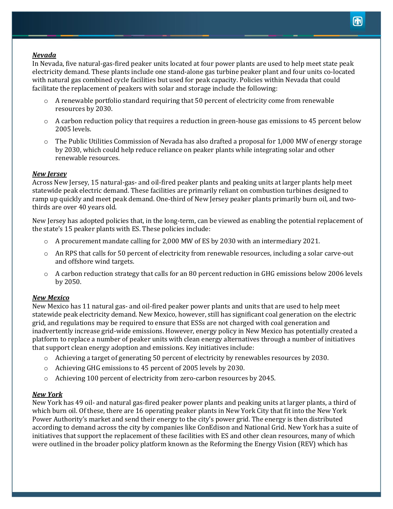## *Nevada*

In Nevada, five natural-gas-fired peaker units located at four power plants are used to help meet state peak electricity demand. These plants include one stand-alone gas turbine peaker plant and four units co-located with natural gas combined cycle facilities but used for peak capacity. Policies within Nevada that could facilitate the replacement of peakers with solar and storage include the following:

- $\circ$  A renewable portfolio standard requiring that 50 percent of electricity come from renewable resources by 2030.
- $\circ$  A carbon reduction policy that requires a reduction in green-house gas emissions to 45 percent below 2005 levels.
- o The Public Utilities Commission of Nevada has also drafted a proposal for 1,000 MW of energy storage by 2030, which could help reduce reliance on peaker plants while integrating solar and other renewable resources.

## *New Jersey*

Across New Jersey, 15 natural-gas- and oil-fired peaker plants and peaking units at larger plants help meet statewide peak electric demand. These facilities are primarily reliant on combustion turbines designed to ramp up quickly and meet peak demand. One-third of New Jersey peaker plants primarily burn oil, and twothirds are over 40 years old.

New Jersey has adopted policies that, in the long-term, can be viewed as enabling the potential replacement of the state's 15 peaker plants with ES. These policies include:

- $\circ$  A procurement mandate calling for 2,000 MW of ES by 2030 with an intermediary 2021.
- o An RPS that calls for 50 percent of electricity from renewable resources, including a solar carve-out and offshore wind targets.
- $\circ$  A carbon reduction strategy that calls for an 80 percent reduction in GHG emissions below 2006 levels by 2050.

## *New Mexico*

New Mexico has 11 natural gas- and oil-fired peaker power plants and units that are used to help meet statewide peak electricity demand. New Mexico, however, still has significant coal generation on the electric grid, and regulations may be required to ensure that ESSs are not charged with coal generation and inadvertently increase grid-wide emissions. However, energy policy in New Mexico has potentially created a platform to replace a number of peaker units with clean energy alternatives through a number of initiatives that support clean energy adoption and emissions. Key initiatives include:

- $\circ$  Achieving a target of generating 50 percent of electricity by renewables resources by 2030.
- o Achieving GHG emissions to 45 percent of 2005 levels by 2030.
- o Achieving 100 percent of electricity from zero-carbon resources by 2045.

## *New York*

New York has 49 oil- and natural gas-fired peaker power plants and peaking units at larger plants, a third of which burn oil. Of these, there are 16 operating peaker plants in New York City that fit into the New York Power Authority's market and send their energy to the city's power grid. The energy is then distributed according to demand across the city by companies like ConEdison and National Grid. New York has a suite of initiatives that support the replacement of these facilities with ES and other clean resources, many of which were outlined in the broader policy platform known as the Reforming the Energy Vision (REV) which has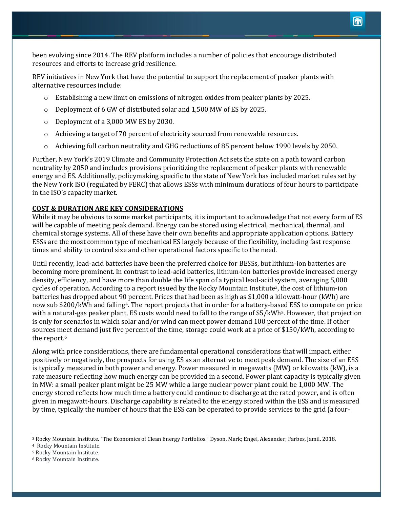been evolving since 2014. The REV platform includes a number of policies that encourage distributed resources and efforts to increase grid resilience.

REV initiatives in New York that have the potential to support the replacement of peaker plants with alternative resources include:

- o Establishing a new limit on emissions of nitrogen oxides from peaker plants by 2025.
- o Deployment of 6 GW of distributed solar and 1,500 MW of ES by 2025.
- o Deployment of a 3,000 MW ES by 2030.
- o Achieving a target of 70 percent of electricity sourced from renewable resources.
- o Achieving full carbon neutrality and GHG reductions of 85 percent below 1990 levels by 2050.

Further, New York's 2019 Climate and Community Protection Act sets the state on a path toward carbon neutrality by 2050 and includes provisions prioritizing the replacement of peaker plants with renewable energy and ES. Additionally, policymaking specific to the state of New York has included market rules set by the New York ISO (regulated by FERC) that allows ESSs with minimum durations of four hours to participate in the ISO's capacity market.

## **COST & DURATION ARE KEY CONSIDERATIONS**

While it may be obvious to some market participants, it is important to acknowledge that not every form of ES will be capable of meeting peak demand. Energy can be stored using electrical, mechanical, thermal, and chemical storage systems. All of these have their own benefits and appropriate application options. Battery ESSs are the most common type of mechanical ES largely because of the flexibility, including fast response times and ability to control size and other operational factors specific to the need.

Until recently, lead-acid batteries have been the preferred choice for BESSs, but lithium-ion batteries are becoming more prominent. In contrast to lead-acid batteries, lithium-ion batteries provide increased energy density, efficiency, and have more than double the life span of a typical lead-acid system, averaging 5,000 cycles of operation. According to a report issued by the Rocky Mountain Institute3, the cost of lithium-ion batteries has dropped about 90 percent. Prices that had been as high as \$1,000 a kilowatt-hour (kWh) are now sub \$200/kWh and falling4. The report projects that in order for a battery-based ESS to compete on price with a natural-gas peaker plant, ES costs would need to fall to the range of \$5/kWh5. However, that projection is only for scenarios in which solar and/or wind can meet power demand 100 percent of the time. If other sources meet demand just five percent of the time, storage could work at a price of \$150/kWh, according to the report.<sup>6</sup>

Along with price considerations, there are fundamental operational considerations that will impact, either positively or negatively, the prospects for using ES as an alternative to meet peak demand. The size of an ESS is typically measured in both power and energy. Power measured in megawatts (MW) or kilowatts (kW), is a rate measure reflecting how much energy can be provided in a second. Power plant capacity is typically given in MW: a small peaker plant might be 25 MW while a large nuclear power plant could be 1,000 MW. The energy stored reflects how much time a battery could continue to discharge at the rated power, and is often given in megawatt-hours. Discharge capability is related to the energy stored within the ESS and is measured by time, typically the number of hours that the ESS can be operated to provide services to the grid (a four-

<sup>3</sup> Rocky Mountain Institute. "The Economics of Clean Energy Portfolios." Dyson, Mark; Engel, Alexander; Farbes, Jamil. 2018.

<sup>4</sup> Rocky Mountain Institute.

<sup>5</sup> Rocky Mountain Institute.

<sup>6</sup> Rocky Mountain Institute.